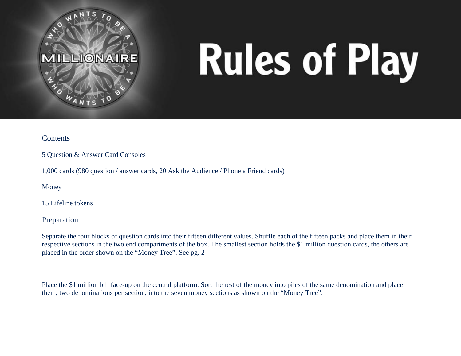

# **Rules of Play**

### **Contents**

5 Question & Answer Card Consoles

1,000 cards (980 question / answer cards, 20 Ask the Audience / Phone a Friend cards)

Money

15 Lifeline tokens

Preparation

Separate the four blocks of question cards into their fifteen different values. Shuffle each of the fifteen packs and place them in their respective sections in the two end compartments of the box. The smallest section holds the \$1 million question cards, the others are placed in the order shown on the "Money Tree". See pg. 2

Place the \$1 million bill face-up on the central platform. Sort the rest of the money into piles of the same denomination and place them, two denominations per section, into the seven money sections as shown on the "Money Tree".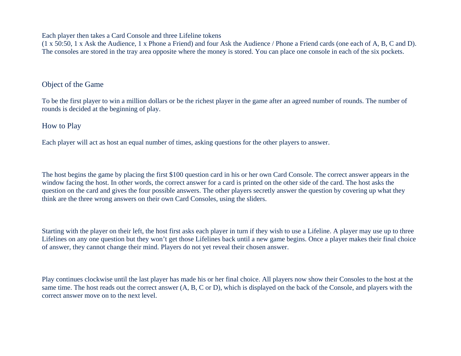Each player then takes a Card Console and three Lifeline tokens

(1 x 50:50, 1 x Ask the Audience, 1 x Phone a Friend) and four Ask the Audience / Phone a Friend cards (one each of A, B, C and D). The consoles are stored in the tray area opposite where the money is stored. You can place one console in each of the six pockets.

## Object of the Game

To be the first player to win a million dollars or be the richest player in the game after an agreed number of rounds. The number of rounds is decided at the beginning of play.

# How to Play

Each player will act as host an equal number of times, asking questions for the other players to answer.

The host begins the game by placing the first \$100 question card in his or her own Card Console. The correct answer appears in the window facing the host. In other words, the correct answer for a card is printed on the other side of the card. The host asks the question on the card and gives the four possible answers. The other players secretly answer the question by covering up what they think are the three wrong answers on their own Card Consoles, using the sliders.

Starting with the player on their left, the host first asks each player in turn if they wish to use a Lifeline. A player may use up to three Lifelines on any one question but they won't get those Lifelines back until a new game begins. Once a player makes their final choice of answer, they cannot change their mind. Players do not yet reveal their chosen answer.

Play continues clockwise until the last player has made his or her final choice. All players now show their Consoles to the host at the same time. The host reads out the correct answer (A, B, C or D), which is displayed on the back of the Console, and players with the correct answer move on to the next level.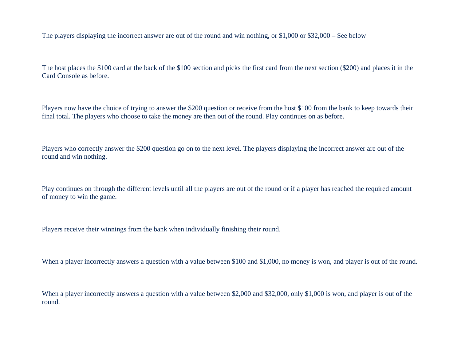The players displaying the incorrect answer are out of the round and win nothing, or \$1,000 or \$32,000 – See below

The host places the \$100 card at the back of the \$100 section and picks the first card from the next section (\$200) and places it in the Card Console as before.

Players now have the choice of trying to answer the \$200 question or receive from the host \$100 from the bank to keep towards their final total. The players who choose to take the money are then out of the round. Play continues on as before.

Players who correctly answer the \$200 question go on to the next level. The players displaying the incorrect answer are out of the round and win nothing.

Play continues on through the different levels until all the players are out of the round or if a player has reached the required amount of money to win the game.

Players receive their winnings from the bank when individually finishing their round.

When a player incorrectly answers a question with a value between \$100 and \$1,000, no money is won, and player is out of the round.

When a player incorrectly answers a question with a value between \$2,000 and \$32,000, only \$1,000 is won, and player is out of the round.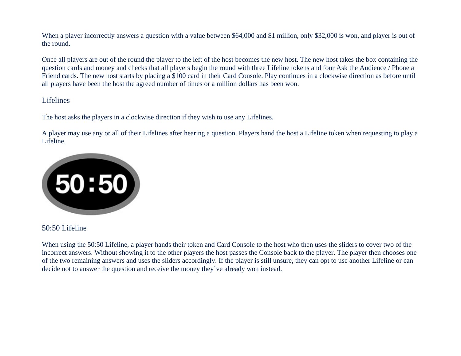When a player incorrectly answers a question with a value between \$64,000 and \$1 million, only \$32,000 is won, and player is out of the round.

Once all players are out of the round the player to the left of the host becomes the new host. The new host takes the box containing the question cards and money and checks that all players begin the round with three Lifeline tokens and four Ask the Audience / Phone a Friend cards. The new host starts by placing a \$100 card in their Card Console. Play continues in a clockwise direction as before until all players have been the host the agreed number of times or a million dollars has been won.

### Lifelines

The host asks the players in a clockwise direction if they wish to use any Lifelines.

A player may use any or all of their Lifelines after hearing a question. Players hand the host a Lifeline token when requesting to play a Lifeline.



### 50:50 Lifeline

When using the 50:50 Lifeline, a player hands their token and Card Console to the host who then uses the sliders to cover two of the incorrect answers. Without showing it to the other players the host passes the Console back to the player. The player then chooses one of the two remaining answers and uses the sliders accordingly. If the player is still unsure, they can opt to use another Lifeline or can decide not to answer the question and receive the money they've already won instead.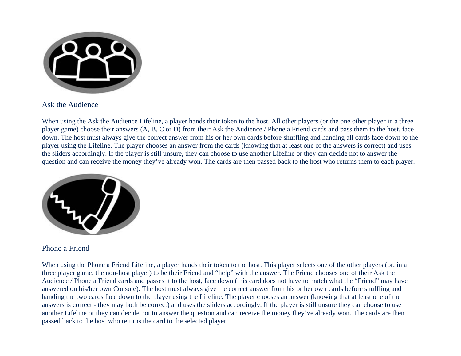

Ask the Audience

When using the Ask the Audience Lifeline, a player hands their token to the host. All other players (or the one other player in a three player game) choose their answers (A, B, C or D) from their Ask the Audience / Phone a Friend cards and pass them to the host, face down. The host must always give the correct answer from his or her own cards before shuffling and handing all cards face down to the player using the Lifeline. The player chooses an answer from the cards (knowing that at least one of the answers is correct) and uses the sliders accordingly. If the player is still unsure, they can choose to use another Lifeline or they can decide not to answer the question and can receive the money they've already won. The cards are then passed back to the host who returns them to each player.



Phone a Friend

When using the Phone a Friend Lifeline, a player hands their token to the host. This player selects one of the other players (or, in a three player game, the non-host player) to be their Friend and "help" with the answer. The Friend chooses one of their Ask the Audience / Phone a Friend cards and passes it to the host, face down (this card does not have to match what the "Friend" may have answered on his/her own Console). The host must always give the correct answer from his or her own cards before shuffling and handing the two cards face down to the player using the Lifeline. The player chooses an answer (knowing that at least one of the answers is correct - they may both be correct) and uses the sliders accordingly. If the player is still unsure they can choose to use another Lifeline or they can decide not to answer the question and can receive the money they've already won. The cards are then passed back to the host who returns the card to the selected player.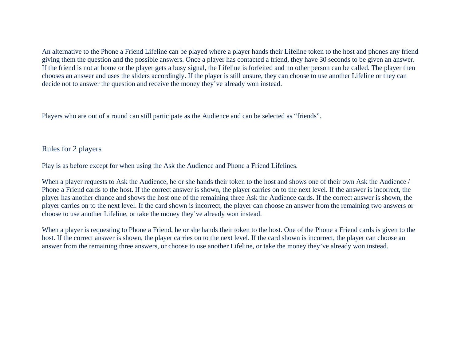An alternative to the Phone a Friend Lifeline can be played where a player hands their Lifeline token to the host and phones any friend giving them the question and the possible answers. Once a player has contacted a friend, they have 30 seconds to be given an answer. If the friend is not at home or the player gets a busy signal, the Lifeline is forfeited and no other person can be called. The player then chooses an answer and uses the sliders accordingly. If the player is still unsure, they can choose to use another Lifeline or they can decide not to answer the question and receive the money they've already won instead.

Players who are out of a round can still participate as the Audience and can be selected as "friends".

## Rules for 2 players

Play is as before except for when using the Ask the Audience and Phone a Friend Lifelines.

When a player requests to Ask the Audience, he or she hands their token to the host and shows one of their own Ask the Audience / Phone a Friend cards to the host. If the correct answer is shown, the player carries on to the next level. If the answer is incorrect, the player has another chance and shows the host one of the remaining three Ask the Audience cards. If the correct answer is shown, the player carries on to the next level. If the card shown is incorrect, the player can choose an answer from the remaining two answers or choose to use another Lifeline, or take the money they've already won instead.

When a player is requesting to Phone a Friend, he or she hands their token to the host. One of the Phone a Friend cards is given to the host. If the correct answer is shown, the player carries on to the next level. If the card shown is incorrect, the player can choose an answer from the remaining three answers, or choose to use another Lifeline, or take the money they've already won instead.